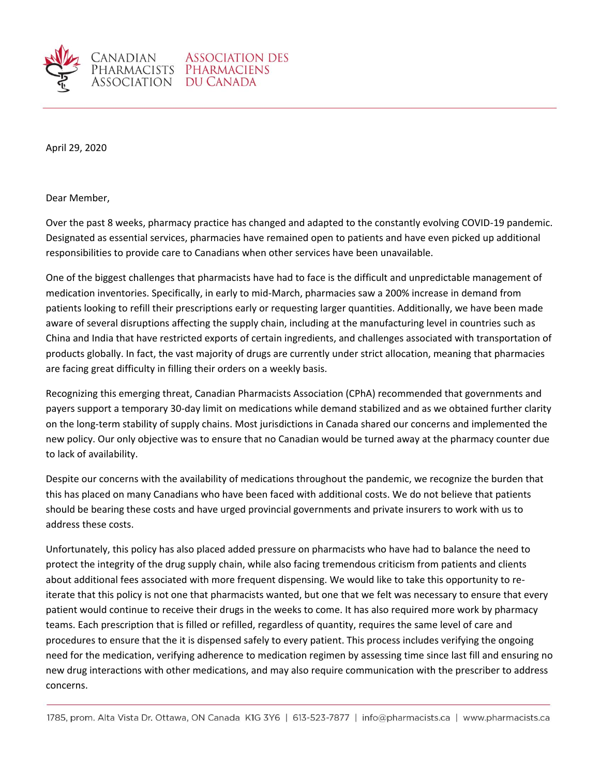

NADIAN

April 29, 2020

Dear Member,

Over the past 8 weeks, pharmacy practice has changed and adapted to the constantly evolving COVID-19 pandemic. Designated as essential services, pharmacies have remained open to patients and have even picked up additional responsibilities to provide care to Canadians when other services have been unavailable.

One of the biggest challenges that pharmacists have had to face is the difficult and unpredictable management of medication inventories. Specifically, in early to mid-March, pharmacies saw a 200% increase in demand from patients looking to refill their prescriptions early or requesting larger quantities. Additionally, we have been made aware of several disruptions affecting the supply chain, including at the manufacturing level in countries such as China and India that have restricted exports of certain ingredients, and challenges associated with transportation of products globally. In fact, the vast majority of drugs are currently under strict allocation, meaning that pharmacies are facing great difficulty in filling their orders on a weekly basis.

Recognizing this emerging threat, Canadian Pharmacists Association (CPhA) recommended that governments and payers support a temporary 30-day limit on medications while demand stabilized and as we obtained further clarity on the long-term stability of supply chains. Most jurisdictions in Canada shared our concerns and implemented the new policy. Our only objective was to ensure that no Canadian would be turned away at the pharmacy counter due to lack of availability.

Despite our concerns with the availability of medications throughout the pandemic, we recognize the burden that this has placed on many Canadians who have been faced with additional costs. We do not believe that patients should be bearing these costs and have urged provincial governments and private insurers to work with us to address these costs.

Unfortunately, this policy has also placed added pressure on pharmacists who have had to balance the need to protect the integrity of the drug supply chain, while also facing tremendous criticism from patients and clients about additional fees associated with more frequent dispensing. We would like to take this opportunity to reiterate that this policy is not one that pharmacists wanted, but one that we felt was necessary to ensure that every patient would continue to receive their drugs in the weeks to come. It has also required more work by pharmacy teams. Each prescription that is filled or refilled, regardless of quantity, requires the same level of care and procedures to ensure that the it is dispensed safely to every patient. This process includes verifying the ongoing need for the medication, verifying adherence to medication regimen by assessing time since last fill and ensuring no new drug interactions with other medications, and may also require communication with the prescriber to address concerns.